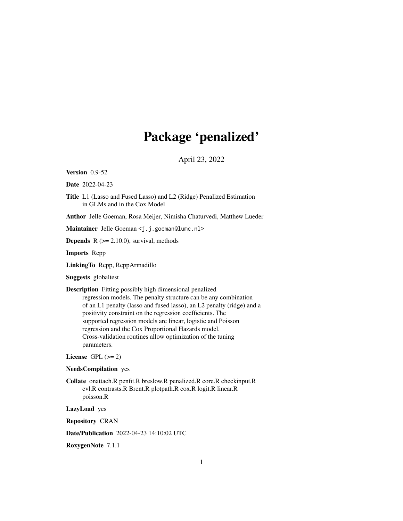# Package 'penalized'

April 23, 2022

<span id="page-0-0"></span>Version 0.9-52

Date 2022-04-23

Title L1 (Lasso and Fused Lasso) and L2 (Ridge) Penalized Estimation in GLMs and in the Cox Model

Author Jelle Goeman, Rosa Meijer, Nimisha Chaturvedi, Matthew Lueder

Maintainer Jelle Goeman <j.j.goeman@lumc.nl>

**Depends**  $R$  ( $>= 2.10.0$ ), survival, methods

Imports Rcpp

LinkingTo Rcpp, RcppArmadillo

Suggests globaltest

Description Fitting possibly high dimensional penalized regression models. The penalty structure can be any combination of an L1 penalty (lasso and fused lasso), an L2 penalty (ridge) and a positivity constraint on the regression coefficients. The supported regression models are linear, logistic and Poisson regression and the Cox Proportional Hazards model. Cross-validation routines allow optimization of the tuning parameters.

License GPL  $(>= 2)$ 

```
NeedsCompilation yes
```
Collate onattach.R penfit.R breslow.R penalized.R core.R checkinput.R cvl.R contrasts.R Brent.R plotpath.R cox.R logit.R linear.R poisson.R

LazyLoad yes

Repository CRAN

Date/Publication 2022-04-23 14:10:02 UTC

RoxygenNote 7.1.1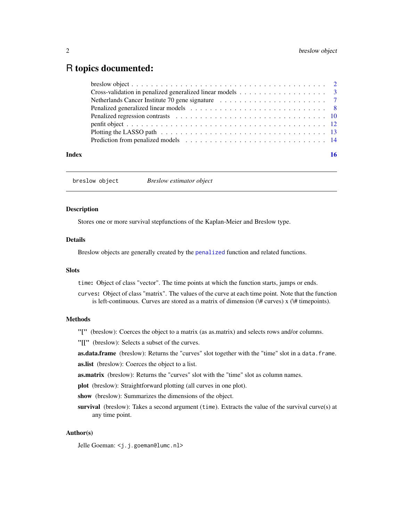# <span id="page-1-0"></span>R topics documented:

| Index |  |
|-------|--|

breslow object *Breslow estimator object*

#### <span id="page-1-1"></span>Description

Stores one or more survival stepfunctions of the Kaplan-Meier and Breslow type.

# Details

Breslow objects are generally created by the [penalized](#page-7-1) function and related functions.

# Slots

time: Object of class "vector". The time points at which the function starts, jumps or ends.

curves: Object of class "matrix". The values of the curve at each time point. Note that the function is left-continuous. Curves are stored as a matrix of dimension  $(\# curves)$  x  $(\# timepoints)$ .

#### Methods

"[" (breslow): Coerces the object to a matrix (as as.matrix) and selects rows and/or columns.

"[[" (breslow): Selects a subset of the curves.

as.data.frame (breslow): Returns the "curves" slot together with the "time" slot in a data. frame. as.list (breslow): Coerces the object to a list.

**as.matrix** (breslow): Returns the "curves" slot with the "time" slot as column names.

plot (breslow): Straightforward plotting (all curves in one plot).

show (breslow): Summarizes the dimensions of the object.

survival (breslow): Takes a second argument (time). Extracts the value of the survival curve(s) at any time point.

# Author(s)

Jelle Goeman: <j.j.goeman@lumc.nl>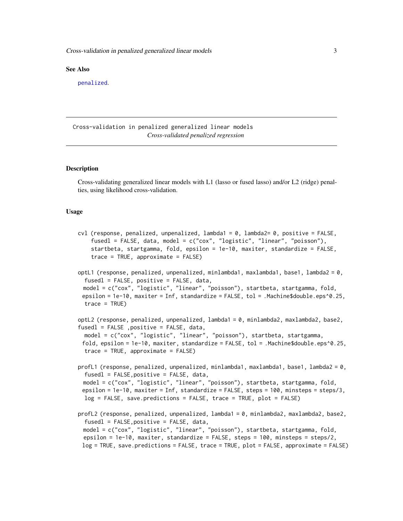#### <span id="page-2-0"></span>See Also

[penalized](#page-7-1).

Cross-validation in penalized generalized linear models *Cross-validated penalized regression*

#### <span id="page-2-1"></span>**Description**

Cross-validating generalized linear models with L1 (lasso or fused lasso) and/or L2 (ridge) penalties, using likelihood cross-validation.

#### Usage

```
cvl (response, penalized, unpenalized, lambda1 = 0, lambda2= 0, positive = FALSE,
    fusedl = FALSE, data, model = c("cox", "logistic", "linear", "poisson"),
    startbeta, startgamma, fold, epsilon = 1e-10, maxiter, standardize = FALSE,
    trace = TRUE, approximate = FALSE)
optL1 (response, penalized, unpenalized, minlambda1, maxlambda1, base1, lambda2 = 0,
  fusedl = FALSE, positive = FALSE, data,
 model = c("cox", "logistic", "linear", "poisson"), startbeta, startgamma, fold,
 epsilon = 1e-10, maxiter = Inf, standardize = FALSE, tol = .Machine$double.eps^0.25,
  trace = TRUE)
optL2 (response, penalized, unpenalized, lambda1 = 0, minlambda2, maxlambda2, base2,
fusedl = FALSE ,positive = FALSE, data,
 model = c("cox", "logistic", "linear", "poisson"), startbeta, startgamma,
 fold, epsilon = 1e-10, maxiter, standardize = FALSE, tol = .Machine$double.eps^0.25,
  trace = TRUE, approximate = FALSE)
profL1 (response, penalized, unpenalized, minlambda1, maxlambda1, base1, lambda2 = 0,
  fusedl = FALSE, positive = FALSE, data,model = c("cox", "logistic", "linear", "poisson"), startbeta, startgamma, fold,
 epsilon = 1e-10, maxiter = Inf, standardize = FALSE, steps = 100, minsteps = steps/3,
 log = FALSE, save.predictions = FALSE, trace = TRUE, plot = FALSE)
profL2 (response, penalized, unpenalized, lambda1 = 0, minlambda2, maxlambda2, base2,
  fused1 = FALSE, positive = FALSE, data,model = c("cox", "logistic", "linear", "poisson"), startbeta, startgamma, fold,
 epsilon = 1e-10, maxiter, standardize = FALSE, steps = 100, minsteps = steps/2,
 log = TRUE, save.predictions = FALSE, trace = TRUE, plot = FALSE, approximate = FALSE)
```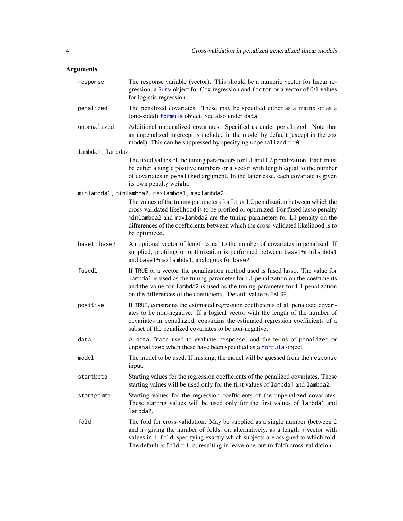<span id="page-3-0"></span>

| response         | The response variable (vector). This should be a numeric vector for linear re-<br>gression, a Surv object for Cox regression and factor or a vector of 0/1 values<br>for logistic regression.                                                                                                                                                             |
|------------------|-----------------------------------------------------------------------------------------------------------------------------------------------------------------------------------------------------------------------------------------------------------------------------------------------------------------------------------------------------------|
| penalized        | The penalized covariates. These may be specified either as a matrix or as a<br>(one-sided) formula object. See also under data.                                                                                                                                                                                                                           |
| unpenalized      | Additional unpenalized covariates. Specified as under penalized. Note that<br>an unpenalized intercept is included in the model by default (except in the cox<br>model). This can be suppressed by specifying unpenalized = $\sim$ 0.                                                                                                                     |
| lambda1, lambda2 |                                                                                                                                                                                                                                                                                                                                                           |
|                  | The fixed values of the tuning parameters for L1 and L2 penalization. Each must<br>be either a single positive numbers or a vector with length equal to the number<br>of covariates in penalized argument. In the latter case, each covariate is given<br>its own penalty weight.                                                                         |
|                  | minlambda1, minlambda2, maxlambda1, maxlambda2                                                                                                                                                                                                                                                                                                            |
|                  | The values of the tuning parameters for L1 or L2 penalization between which the<br>cross-validated likelihood is to be profiled or optimized. For fused lasso penalty<br>minlambda2 and maxlambda2 are the tuning parameters for L1 penalty on the<br>differences of the coefficients between which the cross-validated likelihood is to<br>be optimized. |
| base1, base2     | An optional vector of length equal to the number of covariates in penalized. If<br>supplied, profiling or optimization is performed between base1*minlambda1<br>and base1*maxlambda1; analogous for base2.                                                                                                                                                |
| fusedl           | If TRUE or a vector, the penalization method used is fused lasso. The value for<br>lambda1 is used as the tuning parameter for L1 penalization on the coefficients<br>and the value for lambda2 is used as the tuning parameter for L1 penalization<br>on the differences of the coefficients. Default value is FALSE.                                    |
| positive         | If TRUE, constrains the estimated regression coefficients of all penalized covari-<br>ates to be non-negative. If a logical vector with the length of the number of<br>covariates in penalized, constrains the estimated regression coefficients of a<br>subset of the penalized covariates to be non-negative.                                           |
| data             | A data. frame used to evaluate response, and the terms of penalized or<br>unpenalized when these have been specified as a formula object.                                                                                                                                                                                                                 |
| model            | The model to be used. If missing, the model will be guessed from the response<br>input.                                                                                                                                                                                                                                                                   |
| startbeta        | Starting values for the regression coefficients of the penalized covariates. These<br>starting values will be used only for the first values of lambda1 and lambda2.                                                                                                                                                                                      |
| startgamma       | Starting values for the regression coefficients of the unpenalized covariates.<br>These starting values will be used only for the first values of lambda1 and<br>lambda2.                                                                                                                                                                                 |
| fold             | The fold for cross-validation. May be supplied as a single number (between 2<br>and n) giving the number of folds, or, alternatively, as a length n vector with<br>values in 1: fold, specifying exactly which subjects are assigned to which fold.<br>The default is $fold = 1:n$ , resulting in leave-one-out (n-fold) cross-validation.                |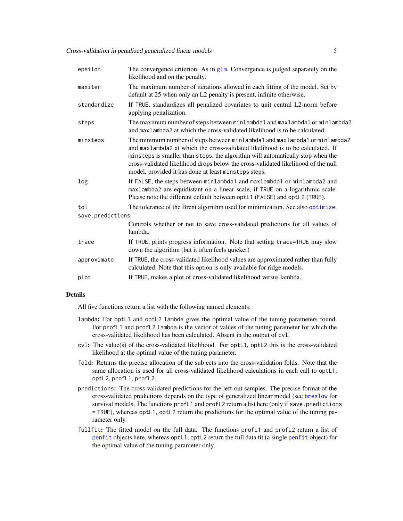<span id="page-4-0"></span>

| epsilon          | The convergence criterion. As in $g\ln$ . Convergence is judged separately on the<br>likelihood and on the penalty.                                                                                                                                                                                                                                                                          |  |
|------------------|----------------------------------------------------------------------------------------------------------------------------------------------------------------------------------------------------------------------------------------------------------------------------------------------------------------------------------------------------------------------------------------------|--|
| maxiter          | The maximum number of iterations allowed in each fitting of the model. Set by<br>default at 25 when only an L2 penalty is present, infinite otherwise.                                                                                                                                                                                                                                       |  |
| standardize      | If TRUE, standardizes all penalized covariates to unit central L2-norm before<br>applying penalization.                                                                                                                                                                                                                                                                                      |  |
| steps            | The maximum number of steps between minlambda1 and maxlambda1 or minlambda2<br>and maxlambda2 at which the cross-validated likelihood is to be calculated.                                                                                                                                                                                                                                   |  |
| minsteps         | The minimum number of steps between minlambda1 and maxlambda1 or minlambda2<br>and maxlambda2 at which the cross-validated likelihood is to be calculated. If<br>minsteps is smaller than steps, the algorithm will automatically stop when the<br>cross-validated likelihood drops below the cross-validated likelihood of the null<br>model, provided it has done at least minsteps steps. |  |
| log              | If FALSE, the steps between minlambda1 and maxlambda1 or minlambda2 and<br>maxlambda2 are equidistant on a linear scale, if TRUE on a logarithmic scale.<br>Please note the different default between optL1 (FALSE) and optL2 (TRUE).                                                                                                                                                        |  |
| tol              | The tolerance of the Brent algorithm used for minimization. See also optimize.                                                                                                                                                                                                                                                                                                               |  |
| save.predictions |                                                                                                                                                                                                                                                                                                                                                                                              |  |
|                  | Controls whether or not to save cross-validated predictions for all values of<br>lambda.                                                                                                                                                                                                                                                                                                     |  |
| trace            | If TRUE, prints progress information. Note that setting trace=TRUE may slow<br>down the algorithm (but it often feels quicker)                                                                                                                                                                                                                                                               |  |
| approximate      | If TRUE, the cross-validated likelihood values are approximated rather than fully<br>calculated. Note that this option is only available for ridge models.                                                                                                                                                                                                                                   |  |
| plot             | If TRUE, makes a plot of cross-validated likelihood versus lambda.                                                                                                                                                                                                                                                                                                                           |  |

# Details

All five functions return a list with the following named elements:

- lambda: For optL1 and optL2 lambda gives the optimal value of the tuning parameters found. For profL1 and profL2 lambda is the vector of values of the tuning parameter for which the cross-validated likelihood has been calculated. Absent in the output of cvl.
- cvl: The value(s) of the cross-validated likelihood. For optL1, optL2 this is the cross-validated likelihood at the optimal value of the tuning parameter.
- fold: Returns the precise allocation of the subjects into the cross-validation folds. Note that the same allocation is used for all cross-validated likelihood calculations in each call to optL1, optL2, profL1, profL2.
- predictions: The cross-validated predictions for the left-out samples. The precise format of the cross-validated predictions depends on the type of generalized linear model (see [breslow](#page-1-1) for survival models. The functions profL1 and profL2 return a list here (only if save.predictions = TRUE), whereas optL1, optL2 return the predictions for the optimal value of the tuning parameter only.
- fullfit: The fitted model on the full data. The functions profL1 and profL2 return a list of [penfit](#page-11-1) objects here, whereas optL1, optL2 return the full data fit (a single [penfit](#page-11-1) object) for the optimal value of the tuning parameter only.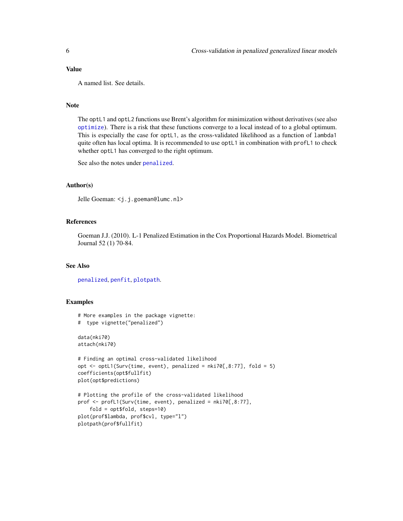#### <span id="page-5-0"></span>Value

A named list. See details.

#### Note

The optL1 and optL2 functions use Brent's algorithm for minimization without derivatives (see also [optimize](#page-0-0)). There is a risk that these functions converge to a local instead of to a global optimum. This is especially the case for optL1, as the cross-validated likelihood as a function of lambda1 quite often has local optima. It is recommended to use optL1 in combination with profL1 to check whether optL1 has converged to the right optimum.

See also the notes under [penalized](#page-7-1).

#### Author(s)

Jelle Goeman: <j.j.goeman@lumc.nl>

# References

Goeman J.J. (2010). L-1 Penalized Estimation in the Cox Proportional Hazards Model. Biometrical Journal 52 (1) 70-84.

#### See Also

[penalized](#page-7-1), [penfit](#page-11-1), [plotpath](#page-12-1).

#### Examples

```
# More examples in the package vignette:
# type vignette("penalized")
data(nki70)
attach(nki70)
# Finding an optimal cross-validated likelihood
opt <- optL1(Surv(time, event), penalized = nki70[,8:77], fold = 5)
coefficients(opt$fullfit)
plot(opt$predictions)
# Plotting the profile of the cross-validated likelihood
prof <- profL1(Surv(time, event), penalized = nki70[,8:77],
    fold = opt$fold, steps=10)
plot(prof$lambda, prof$cvl, type="l")
plotpath(prof$fullfit)
```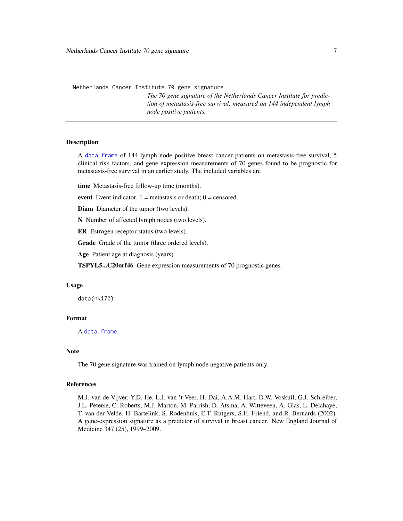<span id="page-6-0"></span>Netherlands Cancer Institute 70 gene signature

*The 70 gene signature of the Netherlands Cancer Institute for prediction of metastasis-free survival, measured on 144 independent lymph node positive patients.*

#### **Description**

A [data.frame](#page-0-0) of 144 lymph node positive breast cancer patients on metastasis-free survival, 5 clinical risk factors, and gene expression measurements of 70 genes found to be prognostic for metastasis-free survival in an earlier study. The included variables are

time Metastasis-free follow-up time (months).

event Event indicator.  $1 =$  metastasis or death;  $0 =$  censored.

Diam Diameter of the tumor (two levels).

N Number of affected lymph nodes (two levels).

ER Estrogen receptor status (two levels).

Grade Grade of the tumor (three ordered levels).

Age Patient age at diagnosis (years).

TSPYL5...C20orf46 Gene expression measurements of 70 prognostic genes.

#### Usage

data(nki70)

# Format

A [data.frame](#page-0-0).

# Note

The 70 gene signature was trained on lymph node negative patients only.

#### References

M.J. van de Vijver, Y.D. He, L.J. van 't Veer, H. Dai, A.A.M. Hart, D.W. Voskuil, G.J. Schreiber, J.L. Peterse, C. Roberts, M.J. Marton, M. Parrish, D. Atsma, A. Witteveen, A. Glas, L. Delahaye, T. van der Velde, H. Bartelink, S. Rodenhuis, E.T. Rutgers, S.H. Friend, and R. Bernards (2002). A gene-expression signature as a predictor of survival in breast cancer. New England Journal of Medicine 347 (25), 1999–2009.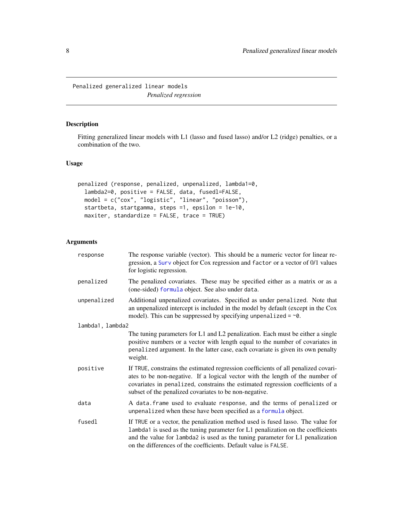<span id="page-7-0"></span>Penalized generalized linear models *Penalized regression*

# <span id="page-7-1"></span>Description

Fitting generalized linear models with L1 (lasso and fused lasso) and/or L2 (ridge) penalties, or a combination of the two.

# Usage

```
penalized (response, penalized, unpenalized, lambda1=0,
  lambda2=0, positive = FALSE, data, fusedl=FALSE,
 model = c("cox", "logistic", "linear", "poisson"),
 startbeta, startgamma, steps =1, epsilon = 1e-10,
 maxiter, standardize = FALSE, trace = TRUE)
```

| response         | The response variable (vector). This should be a numeric vector for linear re-<br>gression, a Surv object for Cox regression and factor or a vector of 0/1 values<br>for logistic regression.                                                                                                                          |  |
|------------------|------------------------------------------------------------------------------------------------------------------------------------------------------------------------------------------------------------------------------------------------------------------------------------------------------------------------|--|
| penalized        | The penalized covariates. These may be specified either as a matrix or as a<br>(one-sided) formula object. See also under data.                                                                                                                                                                                        |  |
| unpenalized      | Additional unpenalized covariates. Specified as under penalized. Note that<br>an unpenalized intercept is included in the model by default (except in the Cox<br>model). This can be suppressed by specifying unpenalized = $\sim$ 0.                                                                                  |  |
| lambda1, lambda2 |                                                                                                                                                                                                                                                                                                                        |  |
|                  | The tuning parameters for L1 and L2 penalization. Each must be either a single<br>positive numbers or a vector with length equal to the number of covariates in<br>penalized argument. In the latter case, each covariate is given its own penalty<br>weight.                                                          |  |
| positive         | If TRUE, constrains the estimated regression coefficients of all penalized covari-<br>ates to be non-negative. If a logical vector with the length of the number of<br>covariates in penalized, constrains the estimated regression coefficients of a<br>subset of the penalized covariates to be non-negative.        |  |
| data             | A data. frame used to evaluate response, and the terms of penalized or<br>unpenalized when these have been specified as a formula object.                                                                                                                                                                              |  |
| fusedl           | If TRUE or a vector, the penalization method used is fused lasso. The value for<br>lambda1 is used as the tuning parameter for L1 penalization on the coefficients<br>and the value for lambda2 is used as the tuning parameter for L1 penalization<br>on the differences of the coefficients. Default value is FALSE. |  |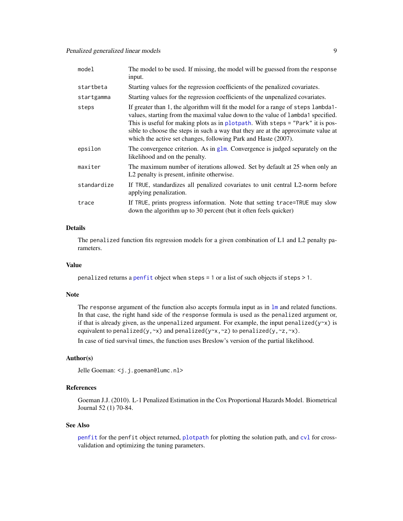<span id="page-8-0"></span>

| model       | The model to be used. If missing, the model will be guessed from the response<br>input.                                                                                                                                                                                                                                                                                                                       |
|-------------|---------------------------------------------------------------------------------------------------------------------------------------------------------------------------------------------------------------------------------------------------------------------------------------------------------------------------------------------------------------------------------------------------------------|
| startbeta   | Starting values for the regression coefficients of the penalized covariates.                                                                                                                                                                                                                                                                                                                                  |
| startgamma  | Starting values for the regression coefficients of the unpenalized covariates.                                                                                                                                                                                                                                                                                                                                |
| steps       | If greater than 1, the algorithm will fit the model for a range of steps lambda1-<br>values, starting from the maximal value down to the value of lambda1 specified.<br>This is useful for making plots as in plotpath. With steps = "Park" it is pos-<br>sible to choose the steps in such a way that they are at the approximate value at<br>which the active set changes, following Park and Haste (2007). |
| epsilon     | The convergence criterion. As in $g\text{1m}$ . Convergence is judged separately on the<br>likelihood and on the penalty.                                                                                                                                                                                                                                                                                     |
| maxiter     | The maximum number of iterations allowed. Set by default at 25 when only an<br>L2 penalty is present, infinite otherwise.                                                                                                                                                                                                                                                                                     |
| standardize | If TRUE, standardizes all penalized covariates to unit central L2-norm before<br>applying penalization.                                                                                                                                                                                                                                                                                                       |
| trace       | If TRUE, prints progress information. Note that setting trace=TRUE may slow<br>down the algorithm up to 30 percent (but it often feels quicker)                                                                                                                                                                                                                                                               |

# Details

The penalized function fits regression models for a given combination of L1 and L2 penalty parameters.

#### Value

penalized returns a [penfit](#page-11-1) object when steps = 1 or a list of such objects if steps > 1.

#### Note

The response argument of the function also accepts formula input as in  $\text{Im}$  and related functions. In that case, the right hand side of the response formula is used as the penalized argument or, if that is already given, as the unpenalized argument. For example, the input penalized( $y \sim x$ ) is equivalent to penalized(y, $\sim x$ ) and penalized(y $\sim x$ , $\sim z$ ) to penalized(y, $\sim z$ , $\sim x$ ).

In case of tied survival times, the function uses Breslow's version of the partial likelihood.

# Author(s)

Jelle Goeman: <j.j.goeman@lumc.nl>

# References

Goeman J.J. (2010). L-1 Penalized Estimation in the Cox Proportional Hazards Model. Biometrical Journal 52 (1) 70-84.

#### See Also

[penfit](#page-11-1) for the penfit object returned, [plotpath](#page-12-1) for plotting the solution path, and [cvl](#page-2-1) for crossvalidation and optimizing the tuning parameters.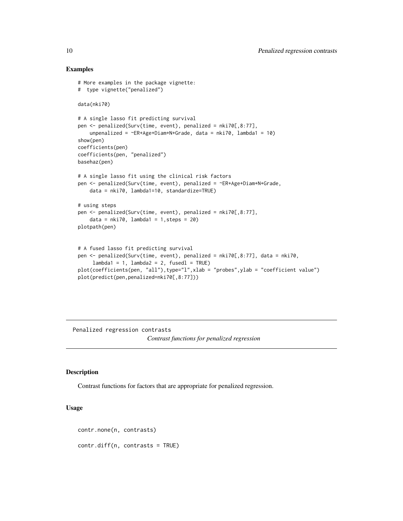#### Examples

```
# More examples in the package vignette:
# type vignette("penalized")
data(nki70)
# A single lasso fit predicting survival
pen <- penalized(Surv(time, event), penalized = nki70[,8:77],
   unpenalized = ER+Age+Diam+N+Grade, data = nki70, lambda1 = 10)
show(pen)
coefficients(pen)
coefficients(pen, "penalized")
basehaz(pen)
# A single lasso fit using the clinical risk factors
pen <- penalized(Surv(time, event), penalized = ~ER+Age+Diam+N+Grade,
    data = nki70, lambda1=10, standardize=TRUE)
# using steps
pen <- penalized(Surv(time, event), penalized = nki70[,8:77],
    data = nki70, lambda1 = 1, steps = 20)
plotpath(pen)
# A fused lasso fit predicting survival
pen <- penalized(Surv(time, event), penalized = nki70[,8:77], data = nki70,
    lambda1 = 1, lambda2 = 2, fused1 = TRUEplot(coefficients(pen, "all"),type="l",xlab = "probes",ylab = "coefficient value")
plot(predict(pen,penalized=nki70[,8:77]))
```
Penalized regression contrasts *Contrast functions for penalized regression*

# Description

Contrast functions for factors that are appropriate for penalized regression.

# Usage

```
contr.none(n, contrasts)
contr.diff(n, contrasts = TRUE)
```
<span id="page-9-0"></span>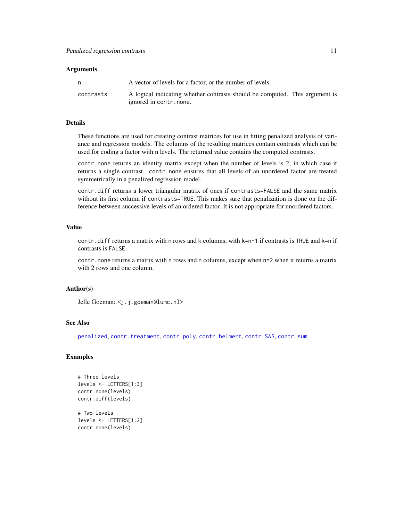#### <span id="page-10-0"></span>**Arguments**

| n         | A vector of levels for a factor, or the number of levels.                                             |
|-----------|-------------------------------------------------------------------------------------------------------|
| contrasts | A logical indicating whether contrasts should be computed. This argument is<br>ignored in contr.none. |

# Details

These functions are used for creating contrast matrices for use in fitting penalized analysis of variance and regression models. The columns of the resulting matrices contain contrasts which can be used for coding a factor with n levels. The returned value contains the computed contrasts.

contr.none returns an identity matrix except when the number of levels is 2, in which case it returns a single contrast. contr.none ensures that all levels of an unordered factor are treated symmetrically in a penalized regression model.

contr.diff returns a lower triangular matrix of ones if contrasts=FALSE and the same matrix without its first column if contrasts=TRUE. This makes sure that penalization is done on the difference between successive levels of an ordered factor. It is not appropriate for unordered factors.

# Value

contr.diff returns a matrix with n rows and k columns, with k=n-1 if contrasts is TRUE and k=n if contrasts is FALSE.

contr.none returns a matrix with n rows and n columns, except when n=2 when it returns a matrix with 2 rows and one column.

# Author(s)

Jelle Goeman: <j.j.goeman@lumc.nl>

# See Also

[penalized](#page-7-1), [contr.treatment](#page-0-0), [contr.poly](#page-0-0), [contr.helmert](#page-0-0), [contr.SAS](#page-0-0), [contr.sum](#page-0-0).

# Examples

```
# Three levels
levels <- LETTERS[1:3]
contr.none(levels)
contr.diff(levels)
# Two levels
levels <- LETTERS[1:2]
```
contr.none(levels)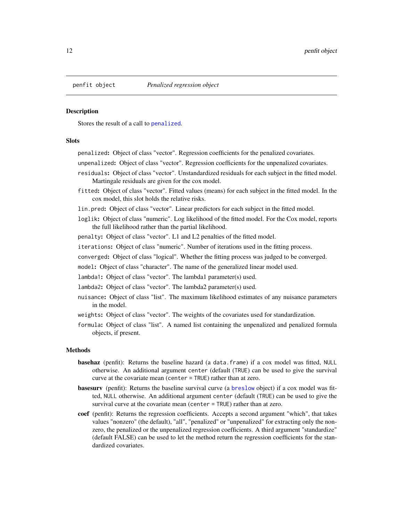<span id="page-11-0"></span>

#### <span id="page-11-1"></span>Description

Stores the result of a call to [penalized](#page-7-1).

# **Slots**

penalized: Object of class "vector". Regression coefficients for the penalized covariates.

unpenalized: Object of class "vector". Regression coefficients for the unpenalized covariates.

- residuals: Object of class "vector". Unstandardized residuals for each subject in the fitted model. Martingale residuals are given for the cox model.
- fitted: Object of class "vector". Fitted values (means) for each subject in the fitted model. In the cox model, this slot holds the relative risks.
- lin.pred: Object of class "vector". Linear predictors for each subject in the fitted model.
- loglik: Object of class "numeric". Log likelihood of the fitted model. For the Cox model, reports the full likelihood rather than the partial likelihood.
- penalty: Object of class "vector". L1 and L2 penalties of the fitted model.
- iterations: Object of class "numeric". Number of iterations used in the fitting process.
- converged: Object of class "logical". Whether the fitting process was judged to be converged.
- model: Object of class "character". The name of the generalized linear model used.
- lambda1: Object of class "vector". The lambda1 parameter(s) used.
- lambda2: Object of class "vector". The lambda2 parameter(s) used.
- nuisance: Object of class "list". The maximum likelihood estimates of any nuisance parameters in the model.
- weights: Object of class "vector". The weights of the covariates used for standardization.
- formula: Object of class "list". A named list containing the unpenalized and penalized formula objects, if present.

#### Methods

- **basehaz** (penfit): Returns the baseline hazard (a data.frame) if a cox model was fitted, NULL otherwise. An additional argument center (default (TRUE) can be used to give the survival curve at the covariate mean (center = TRUE) rather than at zero.
- basesurv (penfit): Returns the baseline survival curve (a [breslow](#page-1-1) object) if a cox model was fitted, NULL otherwise. An additional argument center (default (TRUE) can be used to give the survival curve at the covariate mean (center = TRUE) rather than at zero.
- coef (penfit): Returns the regression coefficients. Accepts a second argument "which", that takes values "nonzero" (the default), "all", "penalized" or "unpenalized" for extracting only the nonzero, the penalized or the unpenalized regression coefficients. A third argument "standardize" (default FALSE) can be used to let the method return the regression coefficients for the standardized covariates.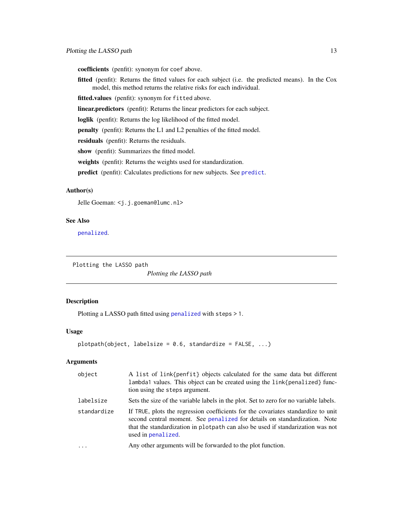<span id="page-12-0"></span>coefficients (penfit): synonym for coef above.

fitted (penfit): Returns the fitted values for each subject (i.e. the predicted means). In the Cox model, this method returns the relative risks for each individual.

fitted.values (penfit): synonym for fitted above.

linear.predictors (penfit): Returns the linear predictors for each subject.

loglik (penfit): Returns the log likelihood of the fitted model.

penalty (penfit): Returns the L1 and L2 penalties of the fitted model.

residuals (penfit): Returns the residuals.

show (penfit): Summarizes the fitted model.

weights (penfit): Returns the weights used for standardization.

predict (penfit): Calculates predictions for new subjects. See [predict](#page-13-1).

# Author(s)

Jelle Goeman: <j.j.goeman@lumc.nl>

# See Also

[penalized](#page-7-1).

Plotting the LASSO path

*Plotting the LASSO path*

#### <span id="page-12-1"></span>Description

Plotting a LASSO path fitted using [penalized](#page-7-1) with steps > 1.

#### Usage

```
plotpath(object, labelsize = 0.6, standardize = FALSE, ...)
```

| object      | A list of link{penfit} objects calculated for the same data but different<br>lambda1 values. This object can be created using the link{penalized} func-<br>tion using the steps argument.                                                                               |
|-------------|-------------------------------------------------------------------------------------------------------------------------------------------------------------------------------------------------------------------------------------------------------------------------|
| labelsize   | Sets the size of the variable labels in the plot. Set to zero for no variable labels.                                                                                                                                                                                   |
| standardize | If TRUE, plots the regression coefficients for the covariates standardize to unit<br>second central moment. See penalized for details on standardization. Note<br>that the standardization in plotpath can also be used if standarization was not<br>used in penalized. |
| $\cdots$    | Any other arguments will be forwarded to the plot function.                                                                                                                                                                                                             |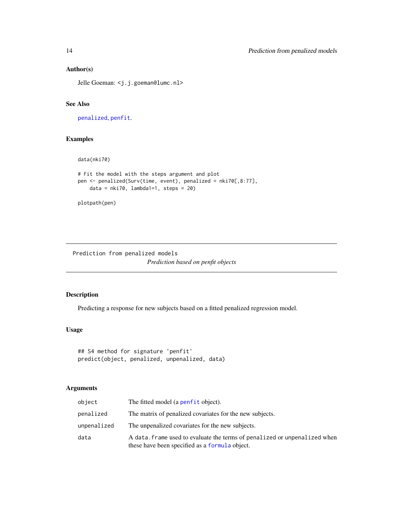# Author(s)

Jelle Goeman: <j.j.goeman@lumc.nl>

#### See Also

[penalized](#page-7-1), [penfit](#page-11-1).

# Examples

data(nki70)

```
# Fit the model with the steps argument and plot
pen <- penalized(Surv(time, event), penalized = nki70[,8:77],
   data = nki70, lambda1=1, steps = 20)
```
plotpath(pen)

Prediction from penalized models *Prediction based on penfit objects*

# <span id="page-13-1"></span>Description

Predicting a response for new subjects based on a fitted penalized regression model.

# Usage

```
## S4 method for signature 'penfit'
predict(object, penalized, unpenalized, data)
```

| object      | The fitted model (a penfit object).                                                                                         |
|-------------|-----------------------------------------------------------------------------------------------------------------------------|
| penalized   | The matrix of penalized covariates for the new subjects.                                                                    |
| unpenalized | The unpenalized covariates for the new subjects.                                                                            |
| data        | A data, frame used to evaluate the terms of penalized or unpenalized when<br>these have been specified as a formula object. |

<span id="page-13-0"></span>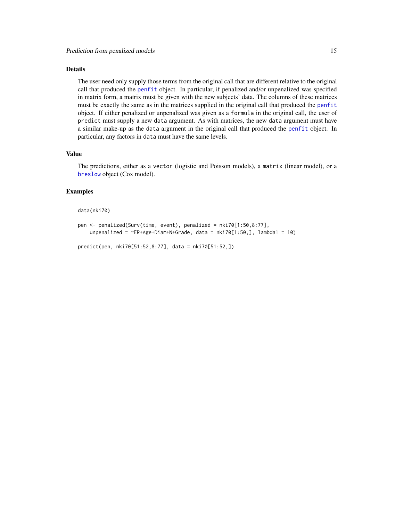# <span id="page-14-0"></span>Details

The user need only supply those terms from the original call that are different relative to the original call that produced the [penfit](#page-11-1) object. In particular, if penalized and/or unpenalized was specified in matrix form, a matrix must be given with the new subjects' data. The columns of these matrices must be exactly the same as in the matrices supplied in the original call that produced the [penfit](#page-11-1) object. If either penalized or unpenalized was given as a formula in the original call, the user of predict must supply a new data argument. As with matrices, the new data argument must have a similar make-up as the data argument in the original call that produced the [penfit](#page-11-1) object. In particular, any factors in data must have the same levels.

# Value

The predictions, either as a vector (logistic and Poisson models), a matrix (linear model), or a [breslow](#page-1-1) object (Cox model).

# Examples

#### data(nki70)

```
pen <- penalized(Surv(time, event), penalized = nki70[1:50,8:77],
    unpenalized = ER+Age+Diam+N+Grade, data = nki70[1:50,], lambda1 = 10)
```

```
predict(pen, nki70[51:52,8:77], data = nki70[51:52,])
```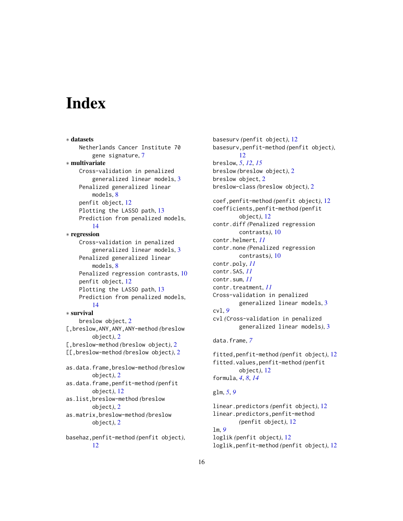# <span id="page-15-0"></span>**Index**

∗ datasets Netherlands Cancer Institute 70 gene signature, [7](#page-6-0) ∗ multivariate Cross-validation in penalized generalized linear models, [3](#page-2-0) Penalized generalized linear models, [8](#page-7-0) penfit object, [12](#page-11-0) Plotting the LASSO path, [13](#page-12-0) Prediction from penalized models, [14](#page-13-0) ∗ regression Cross-validation in penalized generalized linear models, [3](#page-2-0) Penalized generalized linear models, [8](#page-7-0) Penalized regression contrasts, [10](#page-9-0) penfit object, [12](#page-11-0) Plotting the LASSO path, [13](#page-12-0) Prediction from penalized models, [14](#page-13-0) ∗ survival breslow object, [2](#page-1-0) [,breslow,ANY,ANY,ANY-method *(*breslow object*)*, [2](#page-1-0) [,breslow-method *(*breslow object*)*, [2](#page-1-0) [[,breslow-method *(*breslow object*)*, [2](#page-1-0) as.data.frame,breslow-method *(*breslow object*)*, [2](#page-1-0) as.data.frame,penfit-method *(*penfit object*)*, [12](#page-11-0) as.list,breslow-method *(*breslow object*)*, [2](#page-1-0) as.matrix,breslow-method *(*breslow object*)*, [2](#page-1-0) basehaz,penfit-method *(*penfit object*)*, [12](#page-11-0)

basesurv *(*penfit object*)*, [12](#page-11-0) basesurv,penfit-method *(*penfit object*)*, [12](#page-11-0) breslow, *[5](#page-4-0)*, *[12](#page-11-0)*, *[15](#page-14-0)* breslow *(*breslow object*)*, [2](#page-1-0) breslow object, [2](#page-1-0) breslow-class *(*breslow object*)*, [2](#page-1-0) coef,penfit-method *(*penfit object*)*, [12](#page-11-0) coefficients,penfit-method *(*penfit object*)*, [12](#page-11-0) contr.diff *(*Penalized regression contrasts*)*, [10](#page-9-0) contr.helmert, *[11](#page-10-0)* contr.none *(*Penalized regression contrasts*)*, [10](#page-9-0) contr.poly, *[11](#page-10-0)* contr.SAS, *[11](#page-10-0)* contr.sum, *[11](#page-10-0)* contr.treatment, *[11](#page-10-0)* Cross-validation in penalized generalized linear models, [3](#page-2-0) cvl, *[9](#page-8-0)* cvl *(*Cross-validation in penalized generalized linear models*)*, [3](#page-2-0) data.frame, *[7](#page-6-0)* fitted,penfit-method *(*penfit object*)*, [12](#page-11-0) fitted.values,penfit-method *(*penfit object*)*, [12](#page-11-0) formula, *[4](#page-3-0)*, *[8](#page-7-0)*, *[14](#page-13-0)* glm, *[5](#page-4-0)*, *[9](#page-8-0)* linear.predictors *(*penfit object*)*, [12](#page-11-0) linear.predictors,penfit-method *(*penfit object*)*, [12](#page-11-0) lm, *[9](#page-8-0)* loglik *(*penfit object*)*, [12](#page-11-0)

loglik,penfit-method *(*penfit object*)*, [12](#page-11-0)